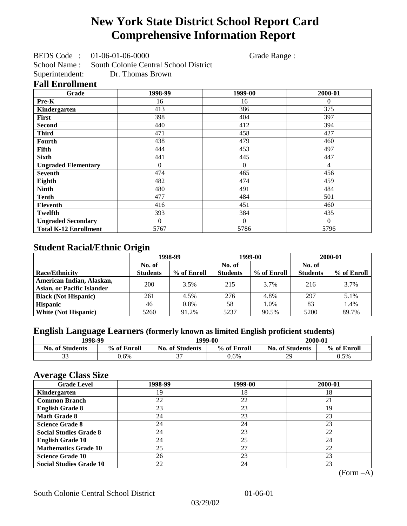# **New York State District School Report Card Comprehensive Information Report**

BEDS Code : 01-06-01-06-0000 Grade Range :

School Name : South Colonie Central School District

Superintendent: Dr. Thomas Brown

### **Fall Enrollment**

| Grade                        | 1998-99  | 1999-00        | 2000-01      |
|------------------------------|----------|----------------|--------------|
| Pre-K                        | 16       | 16             | $\mathbf{0}$ |
| Kindergarten                 | 413      | 386            | 375          |
| <b>First</b>                 | 398      | 404            | 397          |
| <b>Second</b>                | 440      | 412            | 394          |
| <b>Third</b>                 | 471      | 458            | 427          |
| <b>Fourth</b>                | 438      | 479            | 460          |
| Fifth                        | 444      | 453            | 497          |
| <b>Sixth</b>                 | 441      | 445            | 447          |
| <b>Ungraded Elementary</b>   | $\theta$ | $\overline{0}$ | 4            |
| <b>Seventh</b>               | 474      | 465            | 456          |
| Eighth                       | 482      | 474            | 459          |
| <b>Ninth</b>                 | 480      | 491            | 484          |
| <b>Tenth</b>                 | 477      | 484            | 501          |
| Eleventh                     | 416      | 451            | 460          |
| Twelfth                      | 393      | 384            | 435          |
| <b>Ungraded Secondary</b>    | $\Omega$ | $\Omega$       | $\Omega$     |
| <b>Total K-12 Enrollment</b> | 5767     | 5786           | 5796         |

## **Student Racial/Ethnic Origin**

|                                   | 1998-99         |             |                 | 1999-00     |                 | 2000-01     |  |
|-----------------------------------|-----------------|-------------|-----------------|-------------|-----------------|-------------|--|
|                                   | No. of          |             | No. of          |             | No. of          |             |  |
| <b>Race/Ethnicity</b>             | <b>Students</b> | % of Enroll | <b>Students</b> | % of Enroll | <b>Students</b> | % of Enroll |  |
| American Indian, Alaskan,         | 200             | 3.5%        | 215             | 3.7%        | 216             | 3.7%        |  |
| <b>Asian, or Pacific Islander</b> |                 |             |                 |             |                 |             |  |
| <b>Black (Not Hispanic)</b>       | 261             | 4.5%        | 276             | 4.8%        | 297             | 5.1%        |  |
| <b>Hispanic</b>                   | 46              | 0.8%        | 58              | 1.0%        | 83              | 1.4%        |  |
| <b>White (Not Hispanic)</b>       | 5260            | 91.2%       | 5237            | 90.5%       | 5200            | 89.7%       |  |

## **English Language Learners (formerly known as limited English proficient students)**

| 1998-99                |             |                        | 1999-00     | 2000-01                |             |
|------------------------|-------------|------------------------|-------------|------------------------|-------------|
| <b>No. of Students</b> | % of Enroll | <b>No. of Students</b> | % of Enroll | <b>No. of Students</b> | % of Enroll |
| $\sim$<br>◡            | $0.6\%$     | $\sim$                 | 0.6%        | 29                     | 0.5%        |

### **Average Class Size**

| <u>ືຕ</u><br><b>Grade Level</b> | 1998-99 | 1999-00 | 2000-01 |
|---------------------------------|---------|---------|---------|
| Kindergarten                    | 19      | 18      | 18      |
| <b>Common Branch</b>            | 22      | 22      | 21      |
| <b>English Grade 8</b>          | 23      | 23      | 19      |
| <b>Math Grade 8</b>             | 24      | 23      | 23      |
| <b>Science Grade 8</b>          | 24      | 24      | 23      |
| <b>Social Studies Grade 8</b>   | 24      | 23      | 22      |
| <b>English Grade 10</b>         | 24      | 25      | 24      |
| <b>Mathematics Grade 10</b>     | 25      | 27      | 22      |
| <b>Science Grade 10</b>         | 26      | 23      | 23      |
| <b>Social Studies Grade 10</b>  | 22      | 24      | 23      |

(Form –A)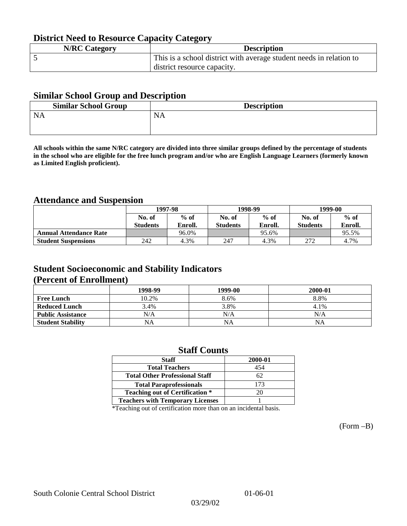## **District Need to Resource Capacity Category**

| <b>N/RC Category</b> | <b>Description</b>                                                  |
|----------------------|---------------------------------------------------------------------|
|                      | This is a school district with average student needs in relation to |
|                      | district resource capacity.                                         |

### **Similar School Group and Description**

| <b>Similar School Group</b> | <b>Description</b> |
|-----------------------------|--------------------|
| <b>NA</b>                   | <b>NA</b>          |
|                             |                    |

**All schools within the same N/RC category are divided into three similar groups defined by the percentage of students in the school who are eligible for the free lunch program and/or who are English Language Learners (formerly known as Limited English proficient).**

## **Attendance and Suspension**

|                               | 1997-98          |         | 1998-99         |         | 1999-00         |         |
|-------------------------------|------------------|---------|-----------------|---------|-----------------|---------|
|                               | $%$ of<br>No. of |         | No. of          | $%$ of  | No. of          | $%$ of  |
|                               | <b>Students</b>  | Enroll. | <b>Students</b> | Enroll. | <b>Students</b> | Enroll. |
| <b>Annual Attendance Rate</b> |                  | 96.0%   |                 | 95.6%   |                 | 95.5%   |
| <b>Student Suspensions</b>    | 242              | 4.3%    | 247             | 4.3%    | 272             | 4.7%    |

### **Student Socioeconomic and Stability Indicators (Percent of Enrollment)**

|                          | 1998-99 | 1999-00   | 2000-01 |
|--------------------------|---------|-----------|---------|
| <b>Free Lunch</b>        | 10.2%   | 8.6%      | 8.8%    |
| <b>Reduced Lunch</b>     | 3.4%    | 3.8%      | 4.1%    |
| <b>Public Assistance</b> | N/A     | N/A       | N/A     |
| <b>Student Stability</b> | NA      | <b>NA</b> | NA      |

### **Staff Counts**

| Staff                                   | 2000-01 |
|-----------------------------------------|---------|
| <b>Total Teachers</b>                   | 454     |
| <b>Total Other Professional Staff</b>   | 62      |
| <b>Total Paraprofessionals</b>          | 173     |
| <b>Teaching out of Certification *</b>  | 20      |
| <b>Teachers with Temporary Licenses</b> |         |

\*Teaching out of certification more than on an incidental basis.

(Form –B)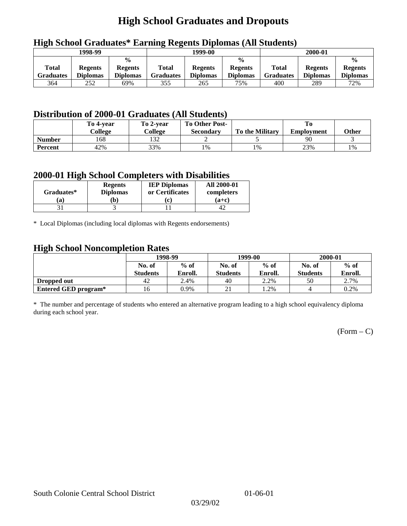# **High School Graduates and Dropouts**

| 1998-99                   |                                   |                                                    |                           | 1999-00                           |                                                    | 2000-01                          |                                   |                                                    |
|---------------------------|-----------------------------------|----------------------------------------------------|---------------------------|-----------------------------------|----------------------------------------------------|----------------------------------|-----------------------------------|----------------------------------------------------|
| <b>Total</b><br>Graduates | <b>Regents</b><br><b>Diplomas</b> | $\frac{6}{6}$<br><b>Regents</b><br><b>Diplomas</b> | Total<br><b>Graduates</b> | <b>Regents</b><br><b>Diplomas</b> | $\frac{0}{0}$<br><b>Regents</b><br><b>Diplomas</b> | <b>Total</b><br><b>Graduates</b> | <b>Regents</b><br><b>Diplomas</b> | $\frac{0}{0}$<br><b>Regents</b><br><b>Diplomas</b> |
| 364                       | 252                               | 69%                                                | 355                       | 265                               | 75%                                                | 400                              | 289                               | 72%                                                |

## **High School Graduates\* Earning Regents Diplomas (All Students)**

## **Distribution of 2000-01 Graduates (All Students)**

|                | To 4-year | To 2-year | <b>To Other Post-</b> |                        |                   |       |
|----------------|-----------|-----------|-----------------------|------------------------|-------------------|-------|
|                | College   | College   | <b>Secondary</b>      | <b>To the Military</b> | <b>Employment</b> | Other |
| <b>Number</b>  | 168       | 132       |                       |                        | 90                |       |
| <b>Percent</b> | 42%       | 33%       | 1%                    | 1%                     | 23%               | 1%    |

### **2000-01 High School Completers with Disabilities**

|            | <b>Regents</b>  | <b>IEP Diplomas</b> | <b>All 2000-01</b> |
|------------|-----------------|---------------------|--------------------|
| Graduates* | <b>Diplomas</b> | or Certificates     | completers         |
| a)         | b)              | c                   | $(a+c)$            |
|            |                 |                     |                    |

\* Local Diplomas (including local diplomas with Regents endorsements)

### **High School Noncompletion Rates**

| ັ                           | 1998-99         |         |                 | 1999-00 | 2000-01         |         |
|-----------------------------|-----------------|---------|-----------------|---------|-----------------|---------|
|                             | No. of          | $%$ of  | No. of          | $%$ of  | No. of          | $%$ of  |
|                             | <b>Students</b> | Enroll. | <b>Students</b> | Enroll. | <b>Students</b> | Enroll. |
| Dropped out                 | 42              | 2.4%    | 40              | 2.2%    | 50              | 2.7%    |
| <b>Entered GED program*</b> | 16              | 0.9%    | $\sim$ 1        | 1.2%    |                 | 0.2%    |

\* The number and percentage of students who entered an alternative program leading to a high school equivalency diploma during each school year.

 $(Form - C)$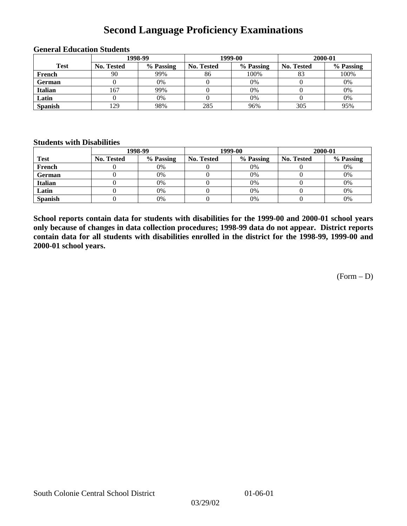## **Second Language Proficiency Examinations**

|                | 1998-99           |           |                   | 1999-00   | 2000-01           |           |  |
|----------------|-------------------|-----------|-------------------|-----------|-------------------|-----------|--|
| <b>Test</b>    | <b>No. Tested</b> | % Passing | <b>No. Tested</b> | % Passing | <b>No. Tested</b> | % Passing |  |
| French         | 90                | 99%       | 86                | 100%      |                   | 100%      |  |
| <b>German</b>  |                   | $0\%$     |                   | 0%        |                   | 0%        |  |
| <b>Italian</b> | 167               | 99%       |                   | 0%        |                   | 0%        |  |
| Latin          |                   | 0%        |                   | 0%        |                   | 0%        |  |
| <b>Spanish</b> | 129               | 98%       | 285               | 96%       | 305               | 95%       |  |

#### **General Education Students**

### **Students with Disabilities**

|                | 1998-99    |           |                   | 1999-00   | 2000-01           |           |  |
|----------------|------------|-----------|-------------------|-----------|-------------------|-----------|--|
| <b>Test</b>    | No. Tested | % Passing | <b>No. Tested</b> | % Passing | <b>No. Tested</b> | % Passing |  |
| French         |            | $0\%$     |                   | 0%        |                   | 0%        |  |
| German         |            | 0%        |                   | 0%        |                   | 0%        |  |
| <b>Italian</b> |            | 0%        |                   | 0%        |                   | 0%        |  |
| Latin          |            | 0%        |                   | 0%        |                   | 0%        |  |
| <b>Spanish</b> |            | 0%        |                   | 0%        |                   | 0%        |  |

**School reports contain data for students with disabilities for the 1999-00 and 2000-01 school years only because of changes in data collection procedures; 1998-99 data do not appear. District reports contain data for all students with disabilities enrolled in the district for the 1998-99, 1999-00 and 2000-01 school years.**

(Form – D)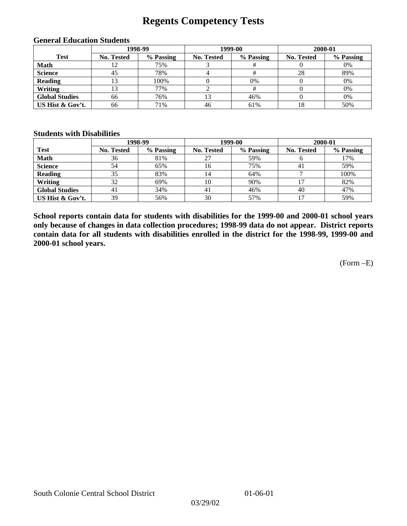## **Regents Competency Tests**

| 1998-99               |                   |           | 1999-00    | 2000-01   |                   |           |
|-----------------------|-------------------|-----------|------------|-----------|-------------------|-----------|
| <b>Test</b>           | <b>No. Tested</b> | % Passing | No. Tested | % Passing | <b>No. Tested</b> | % Passing |
| <b>Math</b>           |                   | 75%       |            |           |                   | 0%        |
| <b>Science</b>        | 45                | 78%       |            |           | 28                | 89%       |
| <b>Reading</b>        | 3                 | 100%      |            | 0%        |                   | 0%        |
| Writing               |                   | 77%       |            |           |                   | 0%        |
| <b>Global Studies</b> | 66                | 76%       | 13         | 46%       |                   | 0%        |
| US Hist & Gov't.      | 66                | 71%       | 46         | 61%       |                   | 50%       |

#### **General Education Students**

### **Students with Disabilities**

|                       |                   | 1998-99   | 1999-00    |           | 2000-01    |           |
|-----------------------|-------------------|-----------|------------|-----------|------------|-----------|
| <b>Test</b>           | <b>No. Tested</b> | % Passing | No. Tested | % Passing | No. Tested | % Passing |
| <b>Math</b>           | 36                | 81%       | 27         | 59%       |            | 17%       |
| <b>Science</b>        | 54                | 65%       | 16         | 75%       | 41         | 59%       |
| <b>Reading</b>        | 35                | 83%       | 14         | 64%       |            | 100%      |
| Writing               | 32                | 69%       | 10         | 90%       |            | 82%       |
| <b>Global Studies</b> | 41                | 34%       | 41         | 46%       | 40         | 47%       |
| US Hist & Gov't.      | 39                | 56%       | 30         | 57%       |            | 59%       |

**School reports contain data for students with disabilities for the 1999-00 and 2000-01 school years only because of changes in data collection procedures; 1998-99 data do not appear. District reports contain data for all students with disabilities enrolled in the district for the 1998-99, 1999-00 and 2000-01 school years.**

(Form –E)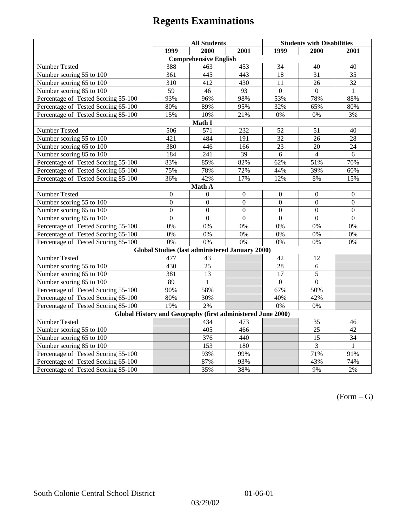|                                                             | <b>All Students</b> |                                                        |                 | <b>Students with Disabilities</b> |                  |                  |  |  |
|-------------------------------------------------------------|---------------------|--------------------------------------------------------|-----------------|-----------------------------------|------------------|------------------|--|--|
|                                                             | 1999                | 2000                                                   | 2001            | 1999                              | 2000             | 2001             |  |  |
|                                                             |                     | <b>Comprehensive English</b>                           |                 |                                   |                  |                  |  |  |
| Number Tested                                               | 388                 | 463                                                    | 453             | 34                                | 40               | 40               |  |  |
| Number scoring 55 to 100                                    | 361                 | 445                                                    | 443             | $\overline{18}$                   | $\overline{31}$  | $\overline{35}$  |  |  |
| Number scoring 65 to 100                                    | 310                 | 412                                                    | 430             | 11                                | 26               | $\overline{32}$  |  |  |
| Number scoring 85 to 100                                    | 59                  | 46                                                     | 93              | $\overline{0}$                    | $\Omega$         | $\mathbf{1}$     |  |  |
| Percentage of Tested Scoring 55-100                         | 93%                 | 96%                                                    | 98%             | 53%                               | 78%              | 88%              |  |  |
| Percentage of Tested Scoring 65-100                         | 80%                 | 89%                                                    | 95%             | 32%                               | 65%              | 80%              |  |  |
| Percentage of Tested Scoring 85-100                         | 15%                 | 10%                                                    | 21%             | $0\%$                             | 0%               | 3%               |  |  |
|                                                             |                     | Math I                                                 |                 |                                   |                  |                  |  |  |
| Number Tested                                               | 506                 | 571                                                    | 232             | 52                                | 51               | 40               |  |  |
| Number scoring 55 to 100                                    | 421                 | 484                                                    | 191             | 32                                | 26               | 28               |  |  |
| Number scoring 65 to 100                                    | 380                 | 446                                                    | 166             | 23                                | 20               | 24               |  |  |
| Number scoring 85 to 100                                    | 184                 | $\overline{241}$                                       | $\overline{39}$ | $\overline{6}$                    | $\overline{4}$   | $\overline{6}$   |  |  |
| Percentage of Tested Scoring 55-100                         | 83%                 | 85%                                                    | 82%             | 62%                               | 51%              | 70%              |  |  |
| Percentage of Tested Scoring 65-100                         | 75%                 | 78%                                                    | 72%             | 44%                               | 39%              | 60%              |  |  |
| Percentage of Tested Scoring 85-100                         | 36%                 | 42%                                                    | 17%             | 12%                               | $8\%$            | 15%              |  |  |
| Math A                                                      |                     |                                                        |                 |                                   |                  |                  |  |  |
| Number Tested                                               | $\boldsymbol{0}$    | $\mathbf{0}$                                           | $\mathbf{0}$    | $\overline{0}$                    | $\mathbf{0}$     | $\boldsymbol{0}$ |  |  |
| Number scoring 55 to 100                                    | $\overline{0}$      | $\overline{0}$                                         | $\overline{0}$  | $\overline{0}$                    | $\overline{0}$   | $\overline{0}$   |  |  |
| Number scoring 65 to 100                                    | $\mathbf{0}$        | $\mathbf{0}$                                           | $\overline{0}$  | $\theta$                          | $\boldsymbol{0}$ | $\boldsymbol{0}$ |  |  |
| Number scoring 85 to 100                                    | $\overline{0}$      | $\overline{0}$                                         | $\overline{0}$  | $\mathbf{0}$                      | $\mathbf{0}$     | $\boldsymbol{0}$ |  |  |
| Percentage of Tested Scoring 55-100                         | 0%                  | 0%                                                     | 0%              | 0%                                | 0%               | 0%               |  |  |
| Percentage of Tested Scoring 65-100                         | 0%                  | 0%                                                     | 0%              | 0%                                | 0%               | 0%               |  |  |
| Percentage of Tested Scoring 85-100                         | 0%                  | 0%                                                     | 0%              | 0%                                | 0%               | $0\%$            |  |  |
|                                                             |                     | <b>Global Studies (last administered January 2000)</b> |                 |                                   |                  |                  |  |  |
| <b>Number Tested</b>                                        | 477                 | 43                                                     |                 | 42                                | 12               |                  |  |  |
| Number scoring 55 to 100                                    | 430                 | $\overline{25}$                                        |                 | $\overline{28}$                   | $6\,$            |                  |  |  |
| Number scoring 65 to 100                                    | 381                 | 13                                                     |                 | 17                                | 5                |                  |  |  |
| Number scoring 85 to 100                                    | 89                  | $\mathbf{1}$                                           |                 | $\Omega$                          | $\Omega$         |                  |  |  |
| Percentage of Tested Scoring 55-100                         | 90%                 | 58%                                                    |                 | 67%                               | 50%              |                  |  |  |
| Percentage of Tested Scoring 65-100                         | 80%                 | 30%                                                    |                 | 40%                               | 42%              |                  |  |  |
| Percentage of Tested Scoring 85-100                         | 19%                 | 2%                                                     |                 | $0\%$                             | $0\%$            |                  |  |  |
| Global History and Geography (first administered June 2000) |                     |                                                        |                 |                                   |                  |                  |  |  |
| Number Tested                                               |                     | 434                                                    | 473             |                                   | 35               | 46               |  |  |
| Number scoring 55 to 100                                    |                     | 405                                                    | 466             |                                   | $\overline{25}$  | $\overline{42}$  |  |  |
| Number scoring 65 to 100                                    |                     | 376                                                    | 440             |                                   | $\overline{15}$  | 34               |  |  |
| Number scoring 85 to 100                                    |                     | 153                                                    | 180             |                                   | 3                | $\mathbf{1}$     |  |  |
| Percentage of Tested Scoring 55-100                         |                     | 93%                                                    | 99%             |                                   | 71%              | 91%              |  |  |
| Percentage of Tested Scoring 65-100                         |                     | 87%                                                    | 93%             |                                   | 43%              | 74%              |  |  |
| Percentage of Tested Scoring 85-100                         |                     | 35%                                                    | 38%             |                                   | 9%               | 2%               |  |  |

 $(Form - G)$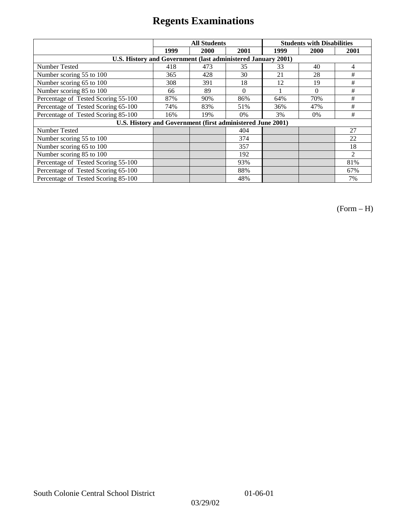|                                                              | <b>All Students</b> |      |          | <b>Students with Disabilities</b> |          |                |
|--------------------------------------------------------------|---------------------|------|----------|-----------------------------------|----------|----------------|
|                                                              | 1999                | 2000 | 2001     | 1999                              | 2000     | 2001           |
| U.S. History and Government (last administered January 2001) |                     |      |          |                                   |          |                |
| Number Tested                                                | 418                 | 473  | 35       | 33                                | 40       | 4              |
| Number scoring 55 to 100                                     | 365                 | 428  | 30       | 21                                | 28       | #              |
| Number scoring 65 to 100                                     | 308                 | 391  | 18       | 12                                | 19       | #              |
| Number scoring 85 to 100                                     | 66                  | 89   | $\Omega$ |                                   | $\Omega$ | #              |
| Percentage of Tested Scoring 55-100                          | 87%                 | 90%  | 86%      | 64%                               | 70%      | #              |
| Percentage of Tested Scoring 65-100                          | 74%                 | 83%  | 51%      | 36%                               | 47%      | #              |
| Percentage of Tested Scoring 85-100                          | 16%                 | 19%  | $0\%$    | 3%                                | $0\%$    | #              |
| U.S. History and Government (first administered June 2001)   |                     |      |          |                                   |          |                |
| <b>Number Tested</b>                                         |                     |      | 404      |                                   |          | 27             |
| Number scoring 55 to 100                                     |                     |      | 374      |                                   |          | 22             |
| Number scoring 65 to 100                                     |                     |      | 357      |                                   |          | 18             |
| Number scoring 85 to 100                                     |                     |      | 192      |                                   |          | $\mathfrak{D}$ |
| Percentage of Tested Scoring 55-100                          |                     |      | 93%      |                                   |          | 81%            |
| Percentage of Tested Scoring 65-100                          |                     |      | 88%      |                                   |          | 67%            |
| Percentage of Tested Scoring 85-100                          |                     |      | 48%      |                                   |          | 7%             |

(Form – H)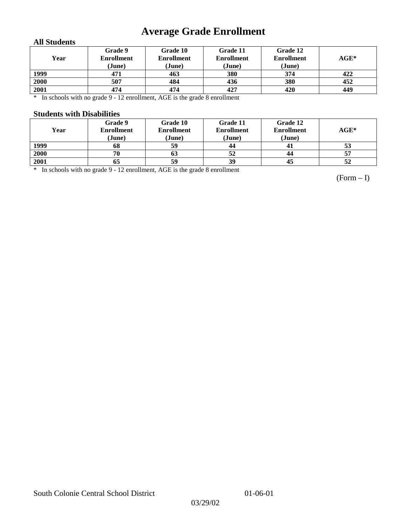# **Average Grade Enrollment**

### **All Students**

| Year | Grade 9<br><b>Enrollment</b><br>(June) | Grade 10<br><b>Enrollment</b><br>(June) | Grade 11<br><b>Enrollment</b><br>(June) | Grade 12<br><b>Enrollment</b><br>(June) | $\mathbf{AGE}^*$ |
|------|----------------------------------------|-----------------------------------------|-----------------------------------------|-----------------------------------------|------------------|
| 1999 | 471                                    | 463                                     | 380                                     | 374                                     | 422              |
| 2000 | 507                                    | 484                                     | 436                                     | 380                                     | 452              |
| 2001 | 474                                    | 474                                     | 427                                     | 420                                     | 449              |

\* In schools with no grade 9 - 12 enrollment, AGE is the grade 8 enrollment

#### **Students with Disabilities**

| Year | Grade 9<br><b>Enrollment</b><br>(June) | Grade 10<br><b>Enrollment</b><br>(June) | Grade 11<br><b>Enrollment</b><br>(June) | Grade 12<br><b>Enrollment</b><br>(June) | $AGE^*$ |
|------|----------------------------------------|-----------------------------------------|-----------------------------------------|-----------------------------------------|---------|
| 1999 | 68                                     | 59                                      | 44                                      | 41                                      | 53      |
| 2000 | 70                                     | 63                                      | 52                                      | 44                                      | 57      |
| 2001 | 65                                     | 59                                      | 39                                      | 45                                      | 52      |

\* In schools with no grade 9 - 12 enrollment, AGE is the grade 8 enrollment

(Form – I)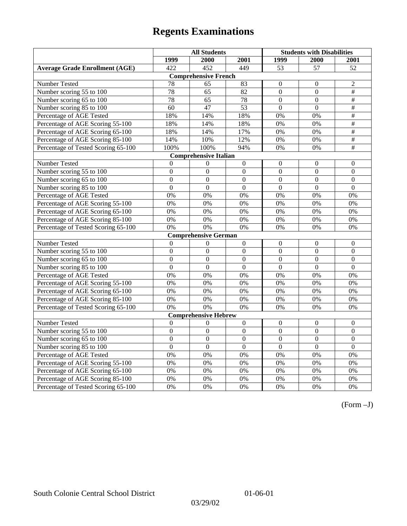|                                       | <b>All Students</b> |                              |                  | <b>Students with Disabilities</b> |                  |                          |  |  |
|---------------------------------------|---------------------|------------------------------|------------------|-----------------------------------|------------------|--------------------------|--|--|
|                                       | 1999                | 2000                         | 2001             | 1999                              | 2000             | 2001                     |  |  |
| <b>Average Grade Enrollment (AGE)</b> | 422                 | 452                          | 449              | 53                                | 57               | 52                       |  |  |
|                                       |                     | <b>Comprehensive French</b>  |                  |                                   |                  |                          |  |  |
| Number Tested                         | 78                  | 65                           | 83               | $\theta$                          | $\mathbf{0}$     | $\overline{2}$           |  |  |
| Number scoring 55 to 100              | 78                  | 65                           | 82               | $\boldsymbol{0}$                  | $\boldsymbol{0}$ | $\overline{\#}$          |  |  |
| Number scoring 65 to 100              | 78                  | 65                           | 78               | $\overline{0}$                    | $\overline{0}$   | $\#$                     |  |  |
| Number scoring 85 to 100              | 60                  | 47                           | 53               | $\overline{0}$                    | $\overline{0}$   | $\#$                     |  |  |
| Percentage of AGE Tested              | 18%                 | 14%                          | 18%              | 0%                                | 0%               | $\overline{\#}$          |  |  |
| Percentage of AGE Scoring 55-100      | 18%                 | 14%                          | 18%              | 0%                                | 0%               | $\overline{\#}$          |  |  |
| Percentage of AGE Scoring 65-100      | 18%                 | 14%                          | 17%              | 0%                                | 0%               | $\overline{\overline{}}$ |  |  |
| Percentage of AGE Scoring 85-100      | 14%                 | 10%                          | 12%              | $0\%$                             | 0%               | $\#$                     |  |  |
| Percentage of Tested Scoring 65-100   | 100%                | 100%                         | 94%              | 0%                                | 0%               | $\overline{+}$           |  |  |
|                                       |                     | <b>Comprehensive Italian</b> |                  |                                   |                  |                          |  |  |
| Number Tested                         | $\theta$            | $\Omega$                     | $\boldsymbol{0}$ | $\overline{0}$                    | $\mathbf{0}$     | $\mathbf{0}$             |  |  |
| Number scoring 55 to 100              | $\overline{0}$      | $\overline{0}$               | $\overline{0}$   | $\overline{0}$                    | $\overline{0}$   | $\overline{0}$           |  |  |
| Number scoring 65 to 100              | $\mathbf{0}$        | $\mathbf{0}$                 | $\overline{0}$   | $\overline{0}$                    | $\mathbf{0}$     | $\mathbf{0}$             |  |  |
| Number scoring 85 to 100              | $\overline{0}$      | $\mathbf{0}$                 | $\overline{0}$   | $\overline{0}$                    | $\mathbf{0}$     | $\mathbf{0}$             |  |  |
| Percentage of AGE Tested              | 0%                  | 0%                           | 0%               | 0%                                | 0%               | 0%                       |  |  |
| Percentage of AGE Scoring 55-100      | 0%                  | 0%                           | 0%               | 0%                                | 0%               | 0%                       |  |  |
| Percentage of AGE Scoring 65-100      | 0%                  | 0%                           | 0%               | 0%                                | 0%               | 0%                       |  |  |
| Percentage of AGE Scoring 85-100      | 0%                  | 0%                           | 0%               | 0%                                | 0%               | 0%                       |  |  |
| Percentage of Tested Scoring 65-100   | 0%                  | 0%                           | 0%               | 0%                                | 0%               | 0%                       |  |  |
|                                       |                     | <b>Comprehensive German</b>  |                  |                                   |                  |                          |  |  |
| Number Tested                         | $\boldsymbol{0}$    | $\Omega$                     | $\overline{0}$   | $\overline{0}$                    | $\overline{0}$   | $\mathbf{0}$             |  |  |
| Number scoring 55 to 100              | $\mathbf{0}$        | $\mathbf{0}$                 | $\boldsymbol{0}$ | $\boldsymbol{0}$                  | $\boldsymbol{0}$ | $\Omega$                 |  |  |
| Number scoring 65 to 100              | $\overline{0}$      | $\overline{0}$               | $\overline{0}$   | $\overline{0}$                    | $\overline{0}$   | $\overline{0}$           |  |  |
| Number scoring 85 to 100              | $\overline{0}$      | $\Omega$                     | $\overline{0}$   | $\overline{0}$                    | $\overline{0}$   | $\overline{0}$           |  |  |
| Percentage of AGE Tested              | 0%                  | 0%                           | 0%               | 0%                                | 0%               | 0%                       |  |  |
| Percentage of AGE Scoring 55-100      | 0%                  | 0%                           | 0%               | 0%                                | 0%               | 0%                       |  |  |
| Percentage of AGE Scoring 65-100      | 0%                  | 0%                           | 0%               | 0%                                | 0%               | 0%                       |  |  |
| Percentage of AGE Scoring 85-100      | 0%                  | 0%                           | 0%               | 0%                                | 0%               | 0%                       |  |  |
| Percentage of Tested Scoring 65-100   | 0%                  | 0%                           | 0%               | 0%                                | 0%               | 0%                       |  |  |
| <b>Comprehensive Hebrew</b>           |                     |                              |                  |                                   |                  |                          |  |  |
| Number Tested                         | $\theta$            | $\boldsymbol{0}$             | $\boldsymbol{0}$ | $\boldsymbol{0}$                  | $\boldsymbol{0}$ | $\boldsymbol{0}$         |  |  |
| Number scoring 55 to 100              | $\overline{0}$      | $\Omega$                     | $\Omega$         | $\Omega$                          | $\theta$         | $\Omega$                 |  |  |
| Number scoring 65 to 100              | $\mathbf{0}$        | $\mathbf{0}$                 | $\mathbf{0}$     | $\boldsymbol{0}$                  | $\boldsymbol{0}$ | $\boldsymbol{0}$         |  |  |
| Number scoring 85 to 100              | $\overline{0}$      | $\overline{0}$               | $\overline{0}$   | $\overline{0}$                    | $\mathbf{0}$     | $\overline{0}$           |  |  |
| Percentage of AGE Tested              | 0%                  | 0%                           | 0%               | 0%                                | 0%               | 0%                       |  |  |
| Percentage of AGE Scoring 55-100      | 0%                  | 0%                           | 0%               | 0%                                | 0%               | 0%                       |  |  |
| Percentage of AGE Scoring 65-100      | 0%                  | 0%                           | 0%               | 0%                                | 0%               | 0%                       |  |  |
| Percentage of AGE Scoring 85-100      | 0%                  | 0%                           | $0\%$            | 0%                                | 0%               | 0%                       |  |  |
| Percentage of Tested Scoring 65-100   | 0%                  | 0%                           | 0%               | 0%                                | 0%               | 0%                       |  |  |

(Form –J)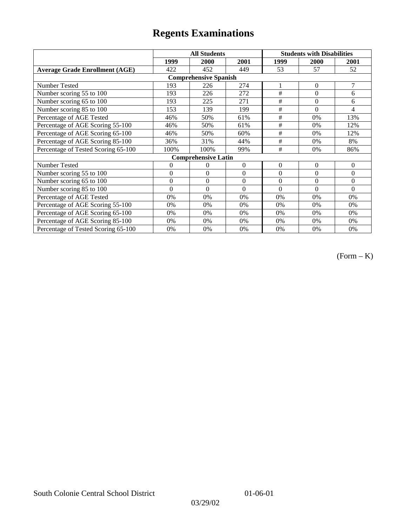|                                       |                | <b>All Students</b>        |          | <b>Students with Disabilities</b> |          |          |  |  |
|---------------------------------------|----------------|----------------------------|----------|-----------------------------------|----------|----------|--|--|
|                                       | 1999           | 2000                       | 2001     | 1999                              | 2000     | 2001     |  |  |
| <b>Average Grade Enrollment (AGE)</b> | 422            | 452                        | 449      | 53                                | 57       | 52       |  |  |
| <b>Comprehensive Spanish</b>          |                |                            |          |                                   |          |          |  |  |
| Number Tested                         | 193            | 226                        | 274      |                                   | $\Omega$ | 7        |  |  |
| Number scoring 55 to 100              | 193            | 226                        | 272      | $\#$                              | $\theta$ | 6        |  |  |
| Number scoring 65 to 100              | 193            | 225                        | 271      | #                                 | $\theta$ | 6        |  |  |
| Number scoring 85 to 100              | 153            | 139                        | 199      | #                                 | $\theta$ | 4        |  |  |
| Percentage of AGE Tested              | 46%            | 50%                        | 61%      | #                                 | 0%       | 13%      |  |  |
| Percentage of AGE Scoring 55-100      | 46%            | 50%                        | 61%      | $\#$                              | 0%       | 12%      |  |  |
| Percentage of AGE Scoring 65-100      | 46%            | 50%                        | 60%      | #                                 | 0%       | 12%      |  |  |
| Percentage of AGE Scoring 85-100      | 36%            | 31%                        | 44%      | #                                 | 0%       | 8%       |  |  |
| Percentage of Tested Scoring 65-100   | 100%           | 100%                       | 99%      | #                                 | 0%       | 86%      |  |  |
|                                       |                | <b>Comprehensive Latin</b> |          |                                   |          |          |  |  |
| Number Tested                         | 0              | $\overline{0}$             | $\theta$ | $\Omega$                          | $\theta$ | $\theta$ |  |  |
| Number scoring 55 to 100              | $\overline{0}$ | $\theta$                   | $\theta$ | $\Omega$                          | $\theta$ | $\Omega$ |  |  |
| Number scoring $65$ to $100$          | $\mathbf{0}$   | $\theta$                   | $\theta$ | $\Omega$                          | $\theta$ | $\Omega$ |  |  |
| Number scoring 85 to 100              | $\theta$       | $\theta$                   | $\Omega$ | $\Omega$                          | $\Omega$ | $\Omega$ |  |  |
| Percentage of AGE Tested              | 0%             | 0%                         | 0%       | 0%                                | 0%       | 0%       |  |  |
| Percentage of AGE Scoring 55-100      | 0%             | 0%                         | 0%       | 0%                                | 0%       | 0%       |  |  |
| Percentage of AGE Scoring 65-100      | 0%             | 0%                         | 0%       | 0%                                | 0%       | 0%       |  |  |
| Percentage of AGE Scoring 85-100      | 0%             | 0%                         | 0%       | 0%                                | 0%       | $0\%$    |  |  |
| Percentage of Tested Scoring 65-100   | 0%             | 0%                         | 0%       | 0%                                | 0%       | 0%       |  |  |

(Form – K)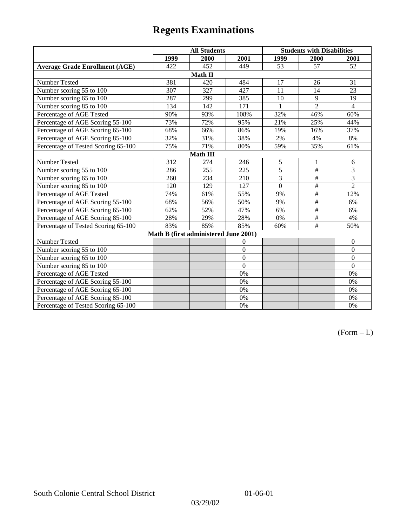|                                       | <b>All Students</b> |                                       |                |                | <b>Students with Disabilities</b> |                  |  |  |
|---------------------------------------|---------------------|---------------------------------------|----------------|----------------|-----------------------------------|------------------|--|--|
|                                       | 1999                | 2000                                  | 2001           | 1999           | 2000                              | 2001             |  |  |
| <b>Average Grade Enrollment (AGE)</b> | 422                 | 452                                   | 449            | 53             | 57                                | 52               |  |  |
|                                       |                     | Math II                               |                |                |                                   |                  |  |  |
| Number Tested                         | 381                 | 420                                   | 484            | 17             | 26                                | 31               |  |  |
| Number scoring 55 to 100              | 307                 | 327                                   | 427            | 11             | 14                                | 23               |  |  |
| Number scoring 65 to 100              | 287                 | 299                                   | 385            | 10             | 9                                 | 19               |  |  |
| Number scoring 85 to 100              | 134                 | 142                                   | 171            |                | $\overline{2}$                    | $\overline{4}$   |  |  |
| Percentage of AGE Tested              | 90%                 | 93%                                   | 108%           | 32%            | 46%                               | 60%              |  |  |
| Percentage of AGE Scoring 55-100      | 73%                 | 72%                                   | 95%            | 21%            | 25%                               | 44%              |  |  |
| Percentage of AGE Scoring 65-100      | 68%                 | 66%                                   | 86%            | 19%            | 16%                               | 37%              |  |  |
| Percentage of AGE Scoring 85-100      | 32%                 | 31%                                   | 38%            | 2%             | 4%                                | $8\%$            |  |  |
| Percentage of Tested Scoring 65-100   | 75%                 | 71%                                   | 80%            | 59%            | 35%                               | 61%              |  |  |
| Math III                              |                     |                                       |                |                |                                   |                  |  |  |
| Number Tested                         | 312                 | 274                                   | 246            | 5              | 1                                 | 6                |  |  |
| Number scoring 55 to 100              | 286                 | 255                                   | 225            | $\overline{5}$ | $\#$                              | 3                |  |  |
| Number scoring 65 to 100              | 260                 | 234                                   | 210            | 3              | $\#$                              | 3                |  |  |
| Number scoring 85 to 100              | 120                 | 129                                   | 127            | $\overline{0}$ | $\#$                              | $\overline{2}$   |  |  |
| Percentage of AGE Tested              | 74%                 | 61%                                   | 55%            | 9%             | $\#$                              | 12%              |  |  |
| Percentage of AGE Scoring 55-100      | 68%                 | 56%                                   | 50%            | 9%             | $\overline{\overline{}}$          | 6%               |  |  |
| Percentage of AGE Scoring 65-100      | 62%                 | 52%                                   | 47%            | 6%             | $\#$                              | 6%               |  |  |
| Percentage of AGE Scoring 85-100      | 28%                 | 29%                                   | 28%            | 0%             | $\#$                              | 4%               |  |  |
| Percentage of Tested Scoring 65-100   | 83%                 | 85%                                   | 85%            | 60%            | $\#$                              | 50%              |  |  |
|                                       |                     | Math B (first administered June 2001) |                |                |                                   |                  |  |  |
| Number Tested                         |                     |                                       | $\theta$       |                |                                   | $\boldsymbol{0}$ |  |  |
| Number scoring 55 to 100              |                     |                                       | $\overline{0}$ |                |                                   | $\mathbf{0}$     |  |  |
| Number scoring 65 to 100              |                     |                                       | $\overline{0}$ |                |                                   | $\boldsymbol{0}$ |  |  |
| Number scoring 85 to 100              |                     |                                       | $\overline{0}$ |                |                                   | $\mathbf{0}$     |  |  |
| Percentage of AGE Tested              |                     |                                       | 0%             |                |                                   | $0\%$            |  |  |
| Percentage of AGE Scoring 55-100      |                     |                                       | 0%             |                |                                   | 0%               |  |  |
| Percentage of AGE Scoring 65-100      |                     |                                       | 0%             |                |                                   | $0\%$            |  |  |
| Percentage of AGE Scoring 85-100      |                     |                                       | 0%             |                |                                   | 0%               |  |  |
| Percentage of Tested Scoring 65-100   |                     |                                       | 0%             |                |                                   | 0%               |  |  |

 $(Form - L)$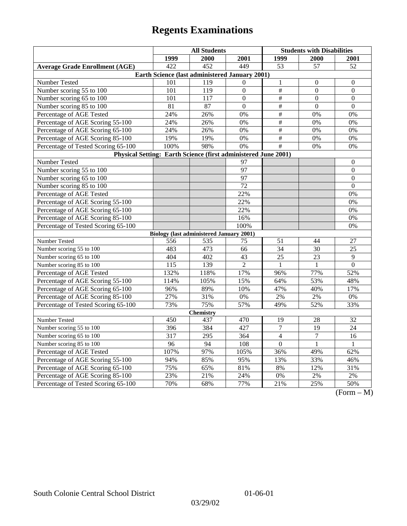|                                                                | <b>All Students</b> |                                                 |                  | <b>Students with Disabilities</b> |                  |                                 |  |  |
|----------------------------------------------------------------|---------------------|-------------------------------------------------|------------------|-----------------------------------|------------------|---------------------------------|--|--|
|                                                                | 1999                | 2000                                            | 2001             | 1999                              | <b>2000</b>      | <b>2001</b>                     |  |  |
| <b>Average Grade Enrollment (AGE)</b>                          | 422                 | 452                                             | 449              | 53                                | 57               | 52                              |  |  |
| Earth Science (last administered January 2001)                 |                     |                                                 |                  |                                   |                  |                                 |  |  |
| Number Tested                                                  | 101                 | 119                                             | $\Omega$         | $\mathbf{1}$                      | $\boldsymbol{0}$ | $\boldsymbol{0}$                |  |  |
| Number scoring 55 to 100                                       | 101                 | 119                                             | $\boldsymbol{0}$ | $\#$                              | $\overline{0}$   | $\mathbf{0}$                    |  |  |
| Number scoring 65 to 100                                       | 101                 | 117                                             | $\Omega$         | $\#$                              | $\theta$         | $\theta$                        |  |  |
| Number scoring 85 to 100                                       | 81                  | 87                                              | $\overline{0}$   | $\overline{\#}$                   | $\boldsymbol{0}$ | $\mathbf{0}$                    |  |  |
| Percentage of AGE Tested                                       | 24%                 | 26%                                             | 0%               | $\overline{\#}$                   | 0%               | 0%                              |  |  |
| Percentage of AGE Scoring 55-100                               | 24%                 | 26%                                             | 0%               | $\#$                              | 0%               | 0%                              |  |  |
| Percentage of AGE Scoring 65-100                               | 24%                 | 26%                                             | 0%               | $\#$                              | 0%               | 0%                              |  |  |
| Percentage of AGE Scoring 85-100                               | 19%                 | 19%                                             | 0%               | $\overline{\#}$                   | 0%               | 0%                              |  |  |
| Percentage of Tested Scoring 65-100                            | 100%                | 98%                                             | 0%               | #                                 | 0%               | 0%                              |  |  |
| Physical Setting: Earth Science (first administered June 2001) |                     |                                                 |                  |                                   |                  |                                 |  |  |
| Number Tested                                                  |                     |                                                 | 97               |                                   |                  | $\boldsymbol{0}$                |  |  |
| Number scoring 55 to 100                                       |                     |                                                 | $\overline{97}$  |                                   |                  | $\overline{0}$                  |  |  |
| Number scoring 65 to 100                                       |                     |                                                 | $\overline{97}$  |                                   |                  | $\mathbf{0}$                    |  |  |
| Number scoring 85 to 100                                       |                     |                                                 | 72               |                                   |                  | $\Omega$                        |  |  |
| Percentage of AGE Tested                                       |                     |                                                 | 22%              |                                   |                  | 0%                              |  |  |
| Percentage of AGE Scoring 55-100                               |                     |                                                 | 22%              |                                   |                  | 0%                              |  |  |
| Percentage of AGE Scoring 65-100                               |                     |                                                 | 22%              |                                   |                  | 0%                              |  |  |
| Percentage of AGE Scoring 85-100                               |                     |                                                 | 16%              |                                   |                  | 0%                              |  |  |
| Percentage of Tested Scoring 65-100                            |                     |                                                 | 100%             |                                   |                  | 0%                              |  |  |
|                                                                |                     | <b>Biology (last administered January 2001)</b> |                  |                                   |                  |                                 |  |  |
| Number Tested                                                  | 556                 | 535                                             | 75               | 51                                | 44               | 27                              |  |  |
| Number scoring 55 to 100                                       | 483                 | 473                                             | 66               | 34                                | 30               | 25                              |  |  |
| Number scoring 65 to 100                                       | 404                 | 402                                             | 43               | 25                                | 23               | 9                               |  |  |
| Number scoring 85 to 100                                       | 115                 | 139                                             | $\overline{2}$   | $\mathbf{1}$                      | $\mathbf{1}$     | $\overline{0}$                  |  |  |
| Percentage of AGE Tested                                       | 132%                | 118%                                            | 17%              | 96%                               | 77%              | 52%                             |  |  |
| Percentage of AGE Scoring 55-100                               | 114%                | 105%                                            | 15%              | 64%                               | 53%              | 48%                             |  |  |
| Percentage of AGE Scoring 65-100                               | 96%                 | 89%                                             | 10%              | 47%                               | 40%              | 17%                             |  |  |
| Percentage of AGE Scoring 85-100                               | 27%                 | 31%                                             | $0\%$            | 2%                                | 2%               | 0%                              |  |  |
| Percentage of Tested Scoring 65-100                            | 73%                 | 75%                                             | 57%              | 49%                               | 52%              | 33%                             |  |  |
| <b>Chemistry</b>                                               |                     |                                                 |                  |                                   |                  |                                 |  |  |
| Number Tested                                                  | 450                 | 437                                             | 470              | 19                                | 28               | 32                              |  |  |
| Number scoring 55 to 100                                       | 396                 | 384                                             | 427              | $\overline{7}$                    | 19               | 24                              |  |  |
| Number scoring 65 to 100                                       | $\overline{317}$    | 295                                             | 364              | $\overline{4}$                    | $\overline{7}$   | 16                              |  |  |
| Number scoring 85 to 100                                       | 96                  | 94                                              | 108              | $\boldsymbol{0}$                  | $\mathbf{1}$     | $\mathbf{1}$                    |  |  |
| Percentage of AGE Tested                                       | 107%                | 97%                                             | 105%             | 36%                               | 49%              | 62%                             |  |  |
| Percentage of AGE Scoring 55-100                               | 94%                 | 85%                                             | 95%              | 13%                               | 33%              | 46%                             |  |  |
| Percentage of AGE Scoring 65-100                               | 75%                 | 65%                                             | 81%              | 8%                                | 12%              | 31%                             |  |  |
| Percentage of AGE Scoring 85-100                               | 23%                 | 21%                                             | 24%              | $0\%$                             | $2\%$            | $2\%$                           |  |  |
| Percentage of Tested Scoring 65-100                            | 70%                 | 68%                                             | 77%              | 21%                               | 25%              | 50%<br>$\Gamma$<br>$\mathbf{M}$ |  |  |

(Form – M)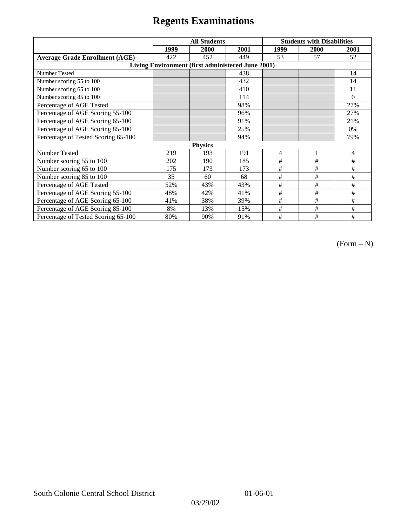|                                                   | <b>All Students</b> |      |      | <b>Students with Disabilities</b> |      |          |  |  |
|---------------------------------------------------|---------------------|------|------|-----------------------------------|------|----------|--|--|
|                                                   | 1999                | 2000 | 2001 | 1999                              | 2000 | 2001     |  |  |
| <b>Average Grade Enrollment (AGE)</b>             | 422                 | 452  | 449  | 53                                | 57   | 52       |  |  |
| Living Environment (first administered June 2001) |                     |      |      |                                   |      |          |  |  |
| <b>Number Tested</b>                              |                     |      | 438  |                                   |      | 14       |  |  |
| Number scoring 55 to 100                          |                     |      | 432  |                                   |      | 14       |  |  |
| Number scoring 65 to 100                          |                     |      | 410  |                                   |      | 11       |  |  |
| Number scoring 85 to 100                          |                     |      | 114  |                                   |      | $\Omega$ |  |  |
| Percentage of AGE Tested                          |                     |      | 98%  |                                   |      | 27%      |  |  |
| Percentage of AGE Scoring 55-100                  |                     |      | 96%  |                                   |      | 27%      |  |  |
| Percentage of AGE Scoring 65-100                  |                     |      | 91%  |                                   |      | 21%      |  |  |
| Percentage of AGE Scoring 85-100                  |                     |      | 25%  |                                   |      | 0%       |  |  |
| Percentage of Tested Scoring 65-100               |                     |      | 94%  |                                   |      | 79%      |  |  |
| <b>Physics</b>                                    |                     |      |      |                                   |      |          |  |  |
| Number Tested                                     | 219                 | 193  | 191  | $\overline{4}$                    | 1    | 4        |  |  |
| Number scoring 55 to 100                          | 202                 | 190  | 185  | #                                 | #    | #        |  |  |
| Number scoring 65 to 100                          | 175                 | 173  | 173  | #                                 | #    | #        |  |  |
| Number scoring 85 to 100                          | 35                  | 60   | 68   | #                                 | #    | #        |  |  |
| Percentage of AGE Tested                          | 52%                 | 43%  | 43%  | #                                 | #    | #        |  |  |
| Percentage of AGE Scoring 55-100                  | 48%                 | 42%  | 41%  | $\#$                              | $\#$ | #        |  |  |
| Percentage of AGE Scoring 65-100                  | 41%                 | 38%  | 39%  | #                                 | #    | #        |  |  |
| Percentage of AGE Scoring 85-100                  | 8%                  | 13%  | 15%  | #                                 | #    | #        |  |  |
| Percentage of Tested Scoring 65-100               | 80%                 | 90%  | 91%  | #                                 | #    | #        |  |  |

(Form – N)